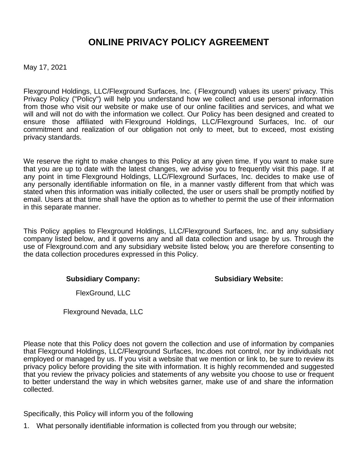# ONLINE PRIVACY POLICY AGREEMENT

May 17, 2021

Flexground Holdings, LLC/Flexground Surfaces, Inc. ( Flexground) values its users' privacy. This Privacy Policy ("Policy") will help you understand how we collect and use personal information from those who visit our website or make use of our online facilities and services, and what we will and will not do with the information we collect. Our Policy has been designed and created to ensure those affiliated with Flexground Holdings, LLC/Flexground Surfaces, Inc. of our commitment and realization of our obligation not only to meet, but to exceed, most existing privacy standards.

We reserve the right to make changes to this Policy at any given time. If you want to make sure that you are up to date with the latest changes, we advise you to frequently visit this page. If at any point in time Flexground Holdings, LLC/Flexground Surfaces, Inc. decides to make use of any personally identifiable information on file, in a manner vastly different from that which was stated when this information was initially collected, the user or users shall be promptly notified by email. Users at that time shall have the option as to whether to permit the use of their information in this separate manner.

This Policy applies to Flexground Holdings, LLC/Flexground Surfaces, Inc. and any subsidiary company listed below, and it governs any and all data collection and usage by us. Through the use of Flexground.com and any subsidiary website listed below, you are therefore consenting to the data collection procedures expressed in this Policy.

#### Subsidiary Company: Subsidiary Website:

FlexGround, LLC

Flexground Nevada, LLC

Please note that this Policy does not govern the collection and use of information by companies that Flexground Holdings, LLC/Flexground Surfaces, Inc.does not control, nor by individuals not employed or managed by us. If you visit a website that we mention or link to, be sure to review its privacy policy before providing the site with information. It is highly recommended and suggested that you review the privacy policies and statements of any website you choose to use or frequent to better understand the way in which websites garner, make use of and share the information collected.

Specifically, this Policy will inform you of the following

1. What personally identifiable information is collected from you through our website;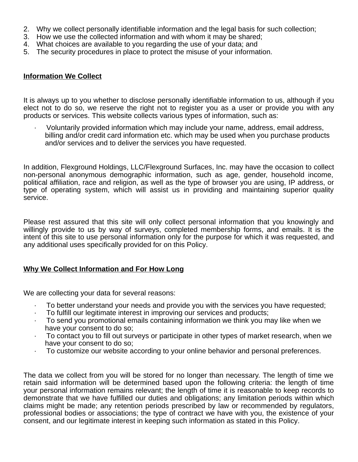- 2. Why we collect personally identifiable information and the legal basis for such collection;
- 3. How we use the collected information and with whom it may be shared;
- 4. What choices are available to you regarding the use of your data; and
- 5. The security procedures in place to protect the misuse of your information.

## Information We Collect

It is always up to you whether to disclose personally identifiable information to us, although if you elect not to do so, we reserve the right not to register you as a user or provide you with any products or services. This website collects various types of information, such as:

· Voluntarily provided information which may include your name, address, email address, billing and/or credit card information etc. which may be used when you purchase products and/or services and to deliver the services you have requested.

In addition, Flexground Holdings, LLC/Flexground Surfaces, Inc. may have the occasion to collect non-personal anonymous demographic information, such as age, gender, household income, political affiliation, race and religion, as well as the type of browser you are using, IP address, or type of operating system, which will assist us in providing and maintaining superior quality service.

Please rest assured that this site will only collect personal information that you knowingly and willingly provide to us by way of surveys, completed membership forms, and emails. It is the intent of this site to use personal information only for the purpose for which it was requested, and any additional uses specifically provided for on this Policy.

# Why We Collect Information and For How Long

We are collecting your data for several reasons:

- · To better understand your needs and provide you with the services you have requested;
- · To fulfill our legitimate interest in improving our services and products;
- · To send you promotional emails containing information we think you may like when we have your consent to do so;
- · To contact you to fill out surveys or participate in other types of market research, when we have your consent to do so;
- · To customize our website according to your online behavior and personal preferences.

The data we collect from you will be stored for no longer than necessary. The length of time we retain said information will be determined based upon the following criteria: the length of time your personal information remains relevant; the length of time it is reasonable to keep records to demonstrate that we have fulfilled our duties and obligations; any limitation periods within which claims might be made; any retention periods prescribed by law or recommended by regulators, professional bodies or associations; the type of contract we have with you, the existence of your consent, and our legitimate interest in keeping such information as stated in this Policy.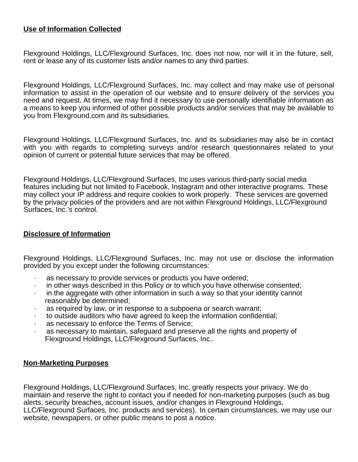# Use of Information Collected

Flexground Holdings, LLC/Flexground Surfaces, Inc. does not now, nor will it in the future, sell, rent or lease any of its customer lists and/or names to any third parties.

Flexground Holdings, LLC/Flexground Surfaces, Inc. may collect and may make use of personal information to assist in the operation of our website and to ensure delivery of the services you need and request. At times, we may find it necessary to use personally identifiable information as a means to keep you informed of other possible products and/or services that may be available to you from Flexground.com and its subsidiaries.

Flexground Holdings, LLC/Flexground Surfaces, Inc. and its subsidiaries may also be in contact with you with regards to completing surveys and/or research questionnaires related to your opinion of current or potential future services that may be offered.

Flexground Holdings, LLC/Flexground Surfaces, Inc.uses various third-party social media features including but not limited to Facebook, Instagram and other interactive programs. These may collect your IP address and require cookies to work properly. These services are governed by the privacy policies of the providers and are not within Flexground Holdings, LLC/Flexground Surfaces, Inc.'s control.

## Disclosure of Information

Flexground Holdings, LLC/Flexground Surfaces, Inc. may not use or disclose the information provided by you except under the following circumstances:

- as necessary to provide services or products you have ordered;
- · in other ways described in this Policy or to which you have otherwise consented;
- $\cdot$  in the aggregate with other information in such a way so that your identity cannot reasonably be determined;
- · as required by law, or in response to a subpoena or search warrant;
- · to outside auditors who have agreed to keep the information confidential;
- as necessary to enforce the Terms of Service;
- as necessary to maintain, safeguard and preserve all the rights and property of Flexground Holdings, LLC/Flexground Surfaces, Inc..

#### Non-Marketing Purposes

Flexground Holdings, LLC/Flexground Surfaces, Inc. greatly respects your privacy. We do maintain and reserve the right to contact you if needed for non-marketing purposes (such as bug alerts, security breaches, account issues, and/or changes in Flexground Holdings, LLC/Flexground Surfaces, Inc. products and services). In certain circumstances, we may use our website, newspapers, or other public means to post a notice.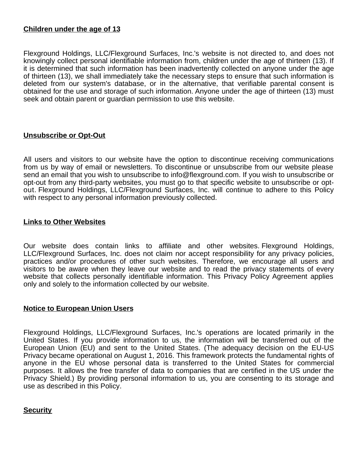#### Children under the age of 13

Flexground Holdings, LLC/Flexground Surfaces, Inc.'s website is not directed to, and does not knowingly collect personal identifiable information from, children under the age of thirteen (13). If it is determined that such information has been inadvertently collected on anyone under the age of thirteen (13), we shall immediately take the necessary steps to ensure that such information is deleted from our system's database, or in the alternative, that verifiable parental consent is obtained for the use and storage of such information. Anyone under the age of thirteen (13) must seek and obtain parent or guardian permission to use this website.

#### Unsubscribe or Opt-Out

All users and visitors to our website have the option to discontinue receiving communications from us by way of email or newsletters. To discontinue or unsubscribe from our website please send an email that you wish to unsubscribe to info@flexground.com. If you wish to unsubscribe or opt-out from any third-party websites, you must go to that specific website to unsubscribe or optout. Flexground Holdings, LLC/Flexground Surfaces, Inc. will continue to adhere to this Policy with respect to any personal information previously collected.

#### Links to Other Websites

Our website does contain links to affiliate and other websites. Flexground Holdings, LLC/Flexground Surfaces, Inc. does not claim nor accept responsibility for any privacy policies, practices and/or procedures of other such websites. Therefore, we encourage all users and visitors to be aware when they leave our website and to read the privacy statements of every website that collects personally identifiable information. This Privacy Policy Agreement applies only and solely to the information collected by our website.

#### Notice to European Union Users

Flexground Holdings, LLC/Flexground Surfaces, Inc.'s operations are located primarily in the United States. If you provide information to us, the information will be transferred out of the European Union (EU) and sent to the United States. (The adequacy decision on the EU-US Privacy became operational on August 1, 2016. This framework protects the fundamental rights of anyone in the EU whose personal data is transferred to the United States for commercial purposes. It allows the free transfer of data to companies that are certified in the US under the Privacy Shield.) By providing personal information to us, you are consenting to its storage and use as described in this Policy.

#### **Security**